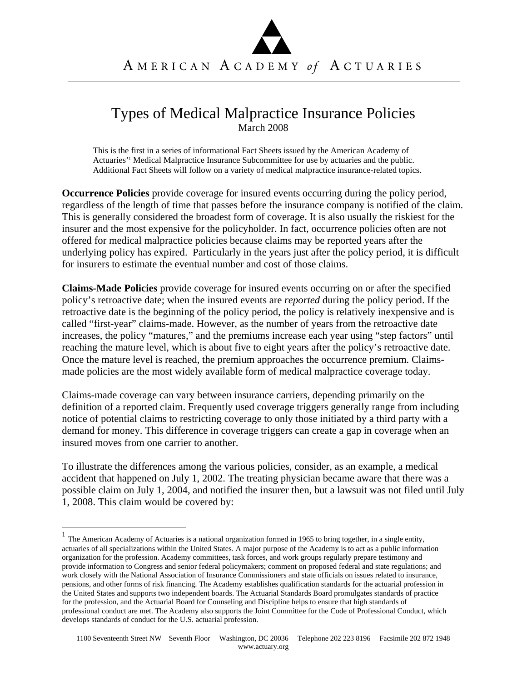## Types of Medical Malpractice Insurance Policies March 2008

This is the first in a series of informational Fact Sheets issued by the American Academy of Actuaries<sup>'1</sup> Medical Malpractice Insurance Subcommittee for use by actuaries and the public. Additional Fact Sheets will follow on a variety of medical malpractice insurance-related topics.

**Occurrence Policies** provide coverage for insured events occurring during the policy period, regardless of the length of time that passes before the insurance company is notified of the claim. This is generally considered the broadest form of coverage. It is also usually the riskiest for the insurer and the most expensive for the policyholder. In fact, occurrence policies often are not offered for medical malpractice policies because claims may be reported years after the underlying policy has expired. Particularly in the years just after the policy period, it is difficult for insurers to estimate the eventual number and cost of those claims.

**Claims-Made Policies** provide coverage for insured events occurring on or after the specified policy's retroactive date; when the insured events are *reported* during the policy period. If the retroactive date is the beginning of the policy period, the policy is relatively inexpensive and is called "first-year" claims-made. However, as the number of years from the retroactive date increases, the policy "matures," and the premiums increase each year using "step factors" until reaching the mature level, which is about five to eight years after the policy's retroactive date. Once the mature level is reached, the premium approaches the occurrence premium. Claimsmade policies are the most widely available form of medical malpractice coverage today.

Claims-made coverage can vary between insurance carriers, depending primarily on the definition of a reported claim. Frequently used coverage triggers generally range from including notice of potential claims to restricting coverage to only those initiated by a third party with a demand for money. This difference in coverage triggers can create a gap in coverage when an insured moves from one carrier to another.

To illustrate the differences among the various policies, consider, as an example, a medical accident that happened on July 1, 2002. The treating physician became aware that there was a possible claim on July 1, 2004, and notified the insurer then, but a lawsuit was not filed until July 1, 2008. This claim would be covered by:

1

 $<sup>1</sup>$  The American Academy of Actuaries is a national organization formed in 1965 to bring together, in a single entity,</sup> actuaries of all specializations within the United States. A major purpose of the Academy is to act as a public information organization for the profession. Academy committees, task forces, and work groups regularly prepare testimony and provide information to Congress and senior federal policymakers; comment on proposed federal and state regulations; and work closely with the National Association of Insurance Commissioners and state officials on issues related to insurance, pensions, and other forms of risk financing. The Academy establishes qualification standards for the actuarial profession in the United States and supports two independent boards. The Actuarial Standards Board promulgates standards of practice for the profession, and the Actuarial Board for Counseling and Discipline helps to ensure that high standards of professional conduct are met. The Academy also supports the Joint Committee for the Code of Professional Conduct, which develops standards of conduct for the U.S. actuarial profession.